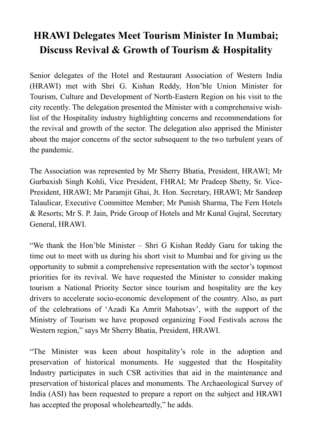## **HRAWI Delegates Meet Tourism Minister In Mumbai; Discuss Revival & Growth of Tourism & Hospitality**

Senior delegates of the Hotel and Restaurant Association of Western India (HRAWI) met with Shri G. Kishan Reddy, Hon'ble Union Minister for Tourism, Culture and Development of North-Eastern Region on his visit to the city recently. The delegation presented the Minister with a comprehensive wishlist of the Hospitality industry highlighting concerns and recommendations for the revival and growth of the sector. The delegation also apprised the Minister about the major concerns of the sector subsequent to the two turbulent years of the pandemic.

The Association was represented by Mr Sherry Bhatia, President, HRAWI; Mr Gurbaxish Singh Kohli, Vice President, FHRAI; Mr Pradeep Shetty, Sr. Vice-President, HRAWI; Mr Paramjit Ghai, Jt. Hon. Secretary, HRAWI; Mr Sandeep Talaulicar, Executive Committee Member; Mr Punish Sharma, The Fern Hotels & Resorts; Mr S. P. Jain, Pride Group of Hotels and Mr Kunal Gujral, Secretary General, HRAWI.

"We thank the Hon'ble Minister – Shri G Kishan Reddy Garu for taking the time out to meet with us during his short visit to Mumbai and for giving us the opportunity to submit a comprehensive representation with the sector's topmost priorities for its revival. We have requested the Minister to consider making tourism a National Priority Sector since tourism and hospitality are the key drivers to accelerate socio-economic development of the country. Also, as part of the celebrations of 'Azadi Ka Amrit Mahotsav', with the support of the Ministry of Tourism we have proposed organizing Food Festivals across the Western region," says Mr Sherry Bhatia, President, HRAWI.

"The Minister was keen about hospitality's role in the adoption and preservation of historical monuments. He suggested that the Hospitality Industry participates in such CSR activities that aid in the maintenance and preservation of historical places and monuments. The Archaeological Survey of India (ASI) has been requested to prepare a report on the subject and HRAWI has accepted the proposal wholeheartedly," he adds.